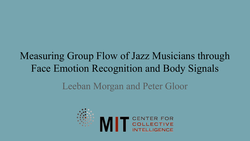# Measuring Group Flow of Jazz Musicians through Face Emotion Recognition and Body Signals

### Leeban Morgan and Peter Gloor

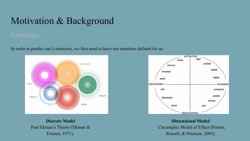In order to predict one's emotions, we first need to have our emotions defined for us.



**Discrete Model** Paul Ekman's Theory (Ekman & Friesen, 1971).



**Dimensional Model**: Circumplex Model of Effect (Posner, Russell, & Peterson, 2005).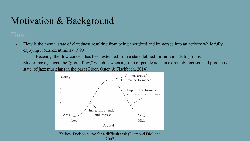- Flow is the mental state of elatedness resulting from being energized and immersed into an activity while fully enjoying it (Czikzentimihay 1990).
	- Recently, the flow concept has been extended from a state defined for individuals to groups.
- Studies have gauged the "group flow," which is when a group of people is in an extremely focused and productive state, of jazz musicians in the past (Gloor, Oster, & Fischbach, 2014).



Yerkes–Dodson curve for a difficult task (Diamond DM, et al. 2007).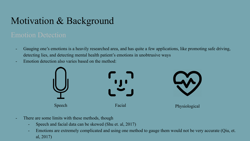- Gauging one's emotions is a heavily researched area, and has quite a few applications, like promoting safe driving, detecting lies, and detecting mental health patient's emotions in unobtrusive ways
- Emotion detection also varies based on the method:



- There are some limits with these methods, though
	- Speech and facial data can be skewed (Shu et. al, 2017)
	- Emotions are extremely complicated and using one method to gauge them would not be very accurate (Qiu, et. al, 2017)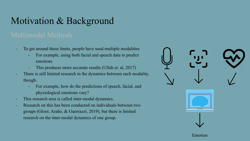- To get around these limits, people have used multiple modalities
	- For example, using both facial and speech data to predict emotions
	- This produces more accurate results (Ullah et. al, 2017)
- There is still limited research in the dynamics between each modality, though.
	- For example, how do the predictions of speech, facial, and physiological emotions vary?
- This research area is called inter-modal dynamics.
- Research on this has been conducted on individuals between two groups (Gloor, Araño, & Guerrazzi, 2019), but there is limited research on the inter-modal dynamics of one group.

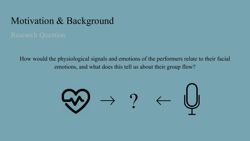How would the physiological signals and emotions of the performers relate to their facial emotions, and what does this tell us about their group flow?

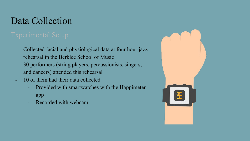## Data Collection

- Collected facial and physiological data at four hour jazz rehearsal in the Berklee School of Music
- 30 performers (string players, percussionists, singers, and dancers) attended this rehearsal
- 10 of them had their data collected
	- Provided with smartwatches with the Happimeter app
	- Recorded with webcam

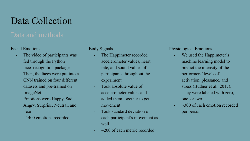## Data Collection

### Facial Emotions

- The video of participants was fed through the Python face recognition package
- Then, the faces were put into a CNN trained on four different datasets and pre-trained on ImageNet
- Emotions were Happy, Sad, Angry, Surprise, Neutral, and Fear
- $\sim$  1400 emotions recorded

### Body Signals

- The Happimeter recorded accelerometer values, heart rate, and sound values of participants throughout the experiment
- Took absolute value of accelerometer values and added them together to get movement
- Took standard deviation of each participant's movement as well
	- $\sim$ 200 of each metric recorded

### Physiological Emotions

- We used the Happimeter's machine learning model to predict the intensity of the performers' levels of activation, pleasance, and stress (Budner et al., 2017).
- They were labeled with zero, one, or two
- $\sim$ 300 of each emotion recorded per person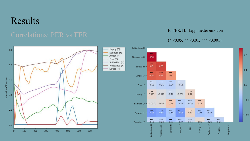## Results



F: FER, H: Happimetter emotion

 $-0.8$ 

 $-0.4$ 

 $-0.0$ 

 $-0.4$ 

 $-0.8$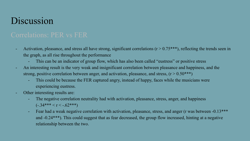## Discussion

- Activation, pleasance, and stress all have strong, significant correlations  $(r > 0.75***)$ , reflecting the trends seen in the graph, as all rise throughout the performance
	- This can be an indicator of group flow, which has also been called "eustress" or positive stress
- An interesting result is the very weak and insignificant correlation between pleasance and happiness, and the strong, positive correlation between anger, and activation, pleasance, and stress,  $(r > 0.50***)$ 
	- This could be because the FER captured angry, instead of happy, faces while the musicians were experiencing eustress.
- Other interesting results are:
	- The negative correlation neutrality had with activation, pleasance, stress, anger, and happiness  $(-.34***<sub>r</sub><15.62***)$
	- Fear had a weak negative correlation with activation, pleasance, stress, and anger (r was between -0.13\*\*\* and -0.24\*\*\*). This could suggest that as fear decreased, the group flow increased, hinting at a negative relationship between the two.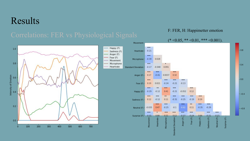### Results

### F: FER, H: Happimetter emotion

### $(* \le 0.05, ** \le 0.01, ** \le 0.001).$

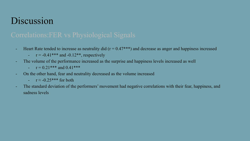## **Discussion**

- Heart Rate tended to increase as neutrality did  $(r = 0.47***)$  and decrease as anger and happiness increased
	- $r = -0.41***$  and  $-0.12**$ , respectively
- The volume of the performance increased as the surprise and happiness levels increased as well
	- $r = 0.21***$  and  $0.41***$
- On the other hand, fear and neutrality decreased as the volume increased
	- $\mathsf{r} \approx -0.25$ \*\*\* for both
- The standard deviation of the performers' movement had negative correlations with their fear, happiness, and sadness levels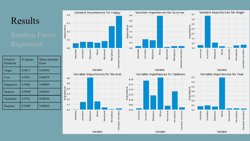## Results

| Emotion<br>Predicted | R-Square | Mean Absolute<br>Error |
|----------------------|----------|------------------------|
| Anger                | 0.9671   | 0.00596                |
| Fear                 | 0.9381   | 0.00078                |
| <b>Happiness</b>     | 0.9866   | 0.00069                |
| Sadness              | 0.9849   | 0.00545                |
| Neutrality           | 0.9741   | 0.00548                |
| Surprise             | 0.9688   | 0.00665                |